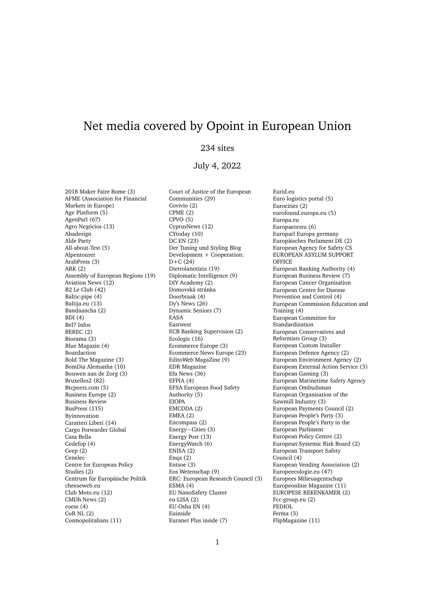## Net media covered by Opoint in European Union

## 234 sites

## July 4, 2022

2018 Maker Faire Rome (3) AFME (Association for Financial Markets in Europe) Age Platform (5) AgenParl (67) Agro Negócios (13) Ahadesign Alde Party All-about-Test (5) Alpentourer ArabPress (3) ARK (2) Assembly of European Regions (19) Aviation News (12) B2 Le Club (42) Baltic-pipe (4) Baltija.eu (13) Bandaancha (2) BDI (4) Bel7 Infos BEREC (2) Biorama (3) Blue Magazin (4) Boardaction Bold The Magazine (3) BomDia Alemanha (10) Bouwen aan de Zorg (3) Bruxelles2 (82) Btcpeers.com (5) Business Europe (2) Business Review BusPress (115) Byinnovation Caratteri Liberi (14) Cargo Forwarder Global Casa Bella Cedefop (4) Ceep (2) Cenelec Centre for European Policy Studies (2) Centrum für Europäische Politik cheeseweb.eu Club Moto.eu (12) CMDh News (2) coess (4) CoR NL (2) Cosmopolitalians (11)

Court of Justice of the European Communities (29) Covivio (2) CPME (2) CPVO (5) CyprusNews (12) CYtoday (10) DC EN (23) Der Tuning und Styling Blog Development + Cooperation: D+C (24) Dietrolanotizia (19) Diplomatic Intelligence (9) DIY Academy (2) Domovská stránka Doorbraak (4) Dy's News (26) Dynamic Seniors (7) EASA Eastwest ECB Banking Supervision (2) Ecologic (16) Ecommerce Europe (3) Ecommerce News Europe (23) EditoWeb MagaZine (9) EDR Magazine Efa News (36) EFPIA (4) EFSA European Food Safety Authority (5) EIOPA EMCDDA (2) EMEA (2) Encompass (2) Energy – Cities  $(3)$ Energy Post (13) EnergyWatch (6) ENISA (2) Enga  $(2)$ Entsoe (3) Eos Wetenschap (9) ERC: European Research Council (3) ESMA (4) EU NanoSafety Cluster eu-LISA (2) EU-Osha EN (4) Euinside Euranet Plus inside (7)

Eurid.eu Euro logistics portal (5) Eurocities (2) eurofound.europa.eu (5) Europa.eu Europaerestu (6) Europarl Europa germany Europäisches Parlament DE (2) European Agency for Safety CS EUROPEAN ASYLUM SUPPORT **OFFICE** European Banking Authority (4) European Business Review (7) European Cancer Organisation European Centre for Disease Prevention and Control (4) European Commission Education and Training (4) European Committee for Standardization European Conservatives and Reformists Group (3) European Custom Installer European Defence Agency (2) European Environment Agency (2) European External Action Service (3) European Gaming (3) European Marinetime Safety Agency European Ombudsman European Organisation of the Sawmill Industry (3) European Payments Council (2) European People's Party (3) European People's Party in the European Parliment European Policy Centre (2) European Systemic Risk Board (2) European Transport Safety Council (4) European Vending Association (2) Europeecologie.eu (47) Europees Milieuagentschap Europeonline Magazine (11) EUROPESE REKENKAMER (2) Fcc-group.eu (2) FEDIOL Ferma (3) FlipMagazine (11)